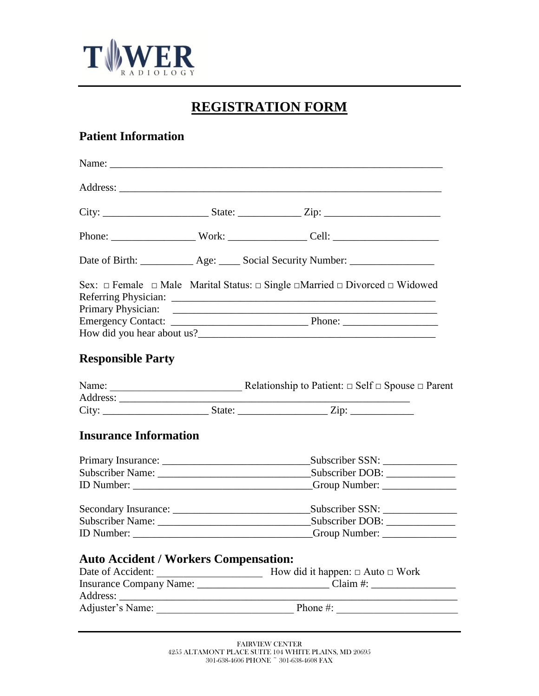

# **REGISTRATION FORM**

## **Patient Information**

|                                              |  | Date of Birth: _____________ Age: _____ Social Security Number: ________________                           |  |  |
|----------------------------------------------|--|------------------------------------------------------------------------------------------------------------|--|--|
|                                              |  | Sex: $\Box$ Female $\Box$ Male Marital Status: $\Box$ Single $\Box$ Married $\Box$ Divorced $\Box$ Widowed |  |  |
|                                              |  |                                                                                                            |  |  |
|                                              |  |                                                                                                            |  |  |
| <b>Responsible Party</b>                     |  |                                                                                                            |  |  |
|                                              |  |                                                                                                            |  |  |
|                                              |  |                                                                                                            |  |  |
|                                              |  |                                                                                                            |  |  |
| <b>Insurance Information</b>                 |  |                                                                                                            |  |  |
|                                              |  |                                                                                                            |  |  |
|                                              |  |                                                                                                            |  |  |
|                                              |  |                                                                                                            |  |  |
|                                              |  |                                                                                                            |  |  |
|                                              |  |                                                                                                            |  |  |
|                                              |  |                                                                                                            |  |  |
|                                              |  |                                                                                                            |  |  |
| <b>Auto Accident / Workers Compensation:</b> |  |                                                                                                            |  |  |
| Date of Accident:                            |  | <b>Example 11</b> How did it happen: □ Auto □ Work                                                         |  |  |
|                                              |  | Insurance Company Name: Claim #: Claim #:                                                                  |  |  |
|                                              |  |                                                                                                            |  |  |
|                                              |  |                                                                                                            |  |  |